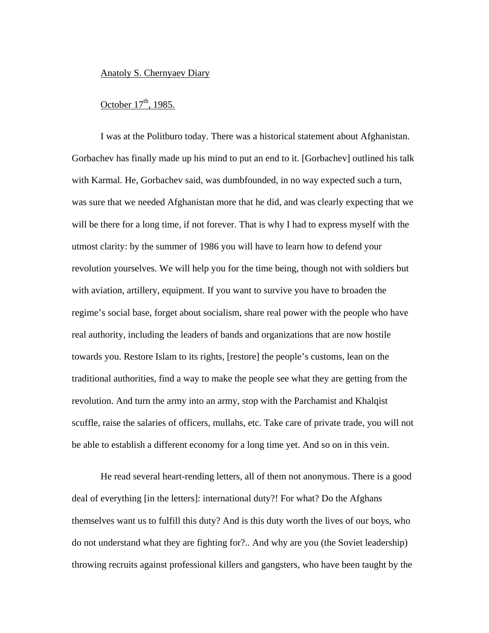## Anatoly S. Chernyaev Diary

## October  $17<sup>th</sup>$ , 1985.

I was at the Politburo today. There was a historical statement about Afghanistan. Gorbachev has finally made up his mind to put an end to it. [Gorbachev] outlined his talk with Karmal. He, Gorbachev said, was dumbfounded, in no way expected such a turn, was sure that we needed Afghanistan more that he did, and was clearly expecting that we will be there for a long time, if not forever. That is why I had to express myself with the utmost clarity: by the summer of 1986 you will have to learn how to defend your revolution yourselves. We will help you for the time being, though not with soldiers but with aviation, artillery, equipment. If you want to survive you have to broaden the regime's social base, forget about socialism, share real power with the people who have real authority, including the leaders of bands and organizations that are now hostile towards you. Restore Islam to its rights, [restore] the people's customs, lean on the traditional authorities, find a way to make the people see what they are getting from the revolution. And turn the army into an army, stop with the Parchamist and Khalqist scuffle, raise the salaries of officers, mullahs, etc. Take care of private trade, you will not be able to establish a different economy for a long time yet. And so on in this vein.

He read several heart-rending letters, all of them not anonymous. There is a good deal of everything [in the letters]: international duty?! For what? Do the Afghans themselves want us to fulfill this duty? And is this duty worth the lives of our boys, who do not understand what they are fighting for?.. And why are you (the Soviet leadership) throwing recruits against professional killers and gangsters, who have been taught by the